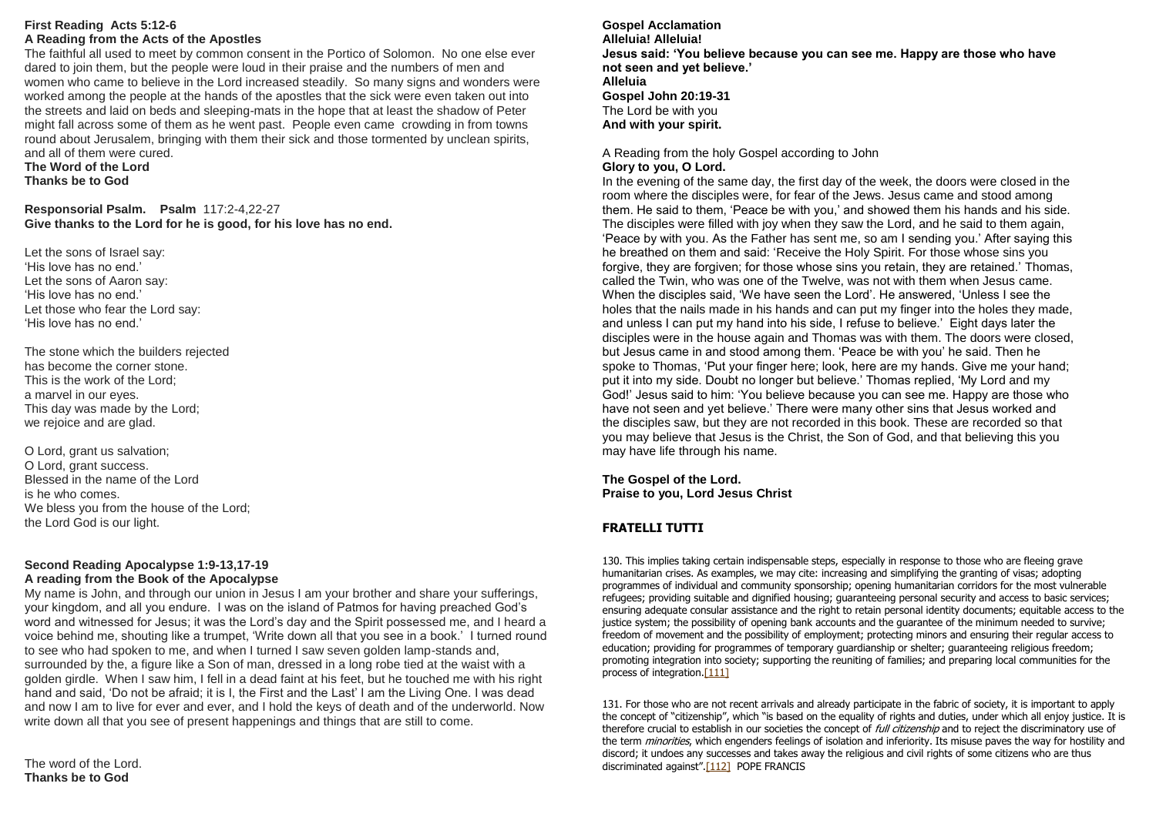# **First Reading Acts 5:12-6**

#### **A Reading from the Acts of the Apostles**

The faithful all used to meet by common consent in the Portico of Solomon. No one else ever dared to join them, but the people were loud in their praise and the numbers of men and women who came to believe in the Lord increased steadily. So many signs and wonders were worked among the people at the hands of the apostles that the sick were even taken out into the streets and laid on beds and sleeping-mats in the hope that at least the shadow of Peter might fall across some of them as he went past. People even came crowding in from towns round about Jerusalem, bringing with them their sick and those tormented by unclean spirits, and all of them were cured.

**The Word of the Lord**

**Thanks be to God**

**Responsorial Psalm. Psalm** 117:2-4,22-27 **Give thanks to the Lord for he is good, for his love has no end.**

Let the sons of Israel say: 'His love has no end.' Let the sons of Aaron say: 'His love has no end.' Let those who fear the Lord say: 'His love has no end.'

The stone which the builders rejected has become the corner stone. This is the work of the Lord; a marvel in our eyes. This day was made by the Lord; we rejoice and are glad.

O Lord, grant us salvation: O Lord, grant success. Blessed in the name of the Lord is he who comes. We bless you from the house of the Lord: the Lord God is our light.

#### **Second Reading Apocalypse 1:9-13,17-19 A reading from the Book of the Apocalypse**

My name is John, and through our union in Jesus I am your brother and share your sufferings, your kingdom, and all you endure. I was on the island of Patmos for having preached God's word and witnessed for Jesus; it was the Lord's day and the Spirit possessed me, and I heard a voice behind me, shouting like a trumpet, 'Write down all that you see in a book.' I turned round to see who had spoken to me, and when I turned I saw seven golden lamp-stands and, surrounded by the, a figure like a Son of man, dressed in a long robe tied at the waist with a golden girdle. When I saw him, I fell in a dead faint at his feet, but he touched me with his right hand and said, 'Do not be afraid; it is I, the First and the Last' I am the Living One. I was dead and now I am to live for ever and ever, and I hold the keys of death and of the underworld. Now write down all that you see of present happenings and things that are still to come.

The word of the Lord. **Thanks be to God**

**Gospel Acclamation Alleluia! Alleluia! Jesus said: 'You believe because you can see me. Happy are those who have not seen and yet believe.' Alleluia Gospel John 20:19-31** The Lord be with you **And with your spirit.**

A Reading from the holy Gospel according to John **Glory to you, O Lord.**

In the evening of the same day, the first day of the week, the doors were closed in the room where the disciples were, for fear of the Jews. Jesus came and stood among them. He said to them, 'Peace be with you,' and showed them his hands and his side. The disciples were filled with joy when they saw the Lord, and he said to them again, 'Peace by with you. As the Father has sent me, so am I sending you.' After saying this he breathed on them and said: 'Receive the Holy Spirit. For those whose sins you forgive, they are forgiven; for those whose sins you retain, they are retained.' Thomas, called the Twin, who was one of the Twelve, was not with them when Jesus came. When the disciples said, 'We have seen the Lord'. He answered, 'Unless I see the holes that the nails made in his hands and can put my finger into the holes they made, and unless I can put my hand into his side, I refuse to believe.' Eight days later the disciples were in the house again and Thomas was with them. The doors were closed, but Jesus came in and stood among them. 'Peace be with you' he said. Then he spoke to Thomas, 'Put your finger here; look, here are my hands. Give me your hand; put it into my side. Doubt no longer but believe.' Thomas replied, 'My Lord and my God!' Jesus said to him: 'You believe because you can see me. Happy are those who have not seen and yet believe.' There were many other sins that Jesus worked and the disciples saw, but they are not recorded in this book. These are recorded so that you may believe that Jesus is the Christ, the Son of God, and that believing this you may have life through his name.

**The Gospel of the Lord. Praise to you, Lord Jesus Christ**

#### **FRATELLI TUTTI**

130. This implies taking certain indispensable steps, especially in response to those who are fleeing grave humanitarian crises. As examples, we may cite: increasing and simplifying the granting of visas; adopting programmes of individual and community sponsorship; opening humanitarian corridors for the most vulnerable refugees; providing suitable and dignified housing; guaranteeing personal security and access to basic services; ensuring adequate consular assistance and the right to retain personal identity documents; equitable access to the justice system; the possibility of opening bank accounts and the guarantee of the minimum needed to survive; freedom of movement and the possibility of employment; protecting minors and ensuring their regular access to education; providing for programmes of temporary guardianship or shelter; guaranteeing religious freedom; promoting integration into society; supporting the reuniting of families; and preparing local communities for the process of integration[.\[111\]](https://www.vatican.va/content/francesco/en/encyclicals/documents/papa-francesco_20201003_enciclica-fratelli-tutti.html#_ftn111)

131. For those who are not recent arrivals and already participate in the fabric of society, it is important to apply the concept of "citizenship", which "is based on the equality of rights and duties, under which all enjoy justice. It is therefore crucial to establish in our societies the concept of *full citizenship* and to reject the discriminatory use of the term *minorities*, which engenders feelings of isolation and inferiority. Its misuse paves the way for hostility and discord; it undoes any successes and takes away the religious and civil rights of some citizens who are thus discriminated against".[\[112\]](https://www.vatican.va/content/francesco/en/encyclicals/documents/papa-francesco_20201003_enciclica-fratelli-tutti.html#_ftn112) POPE FRANCIS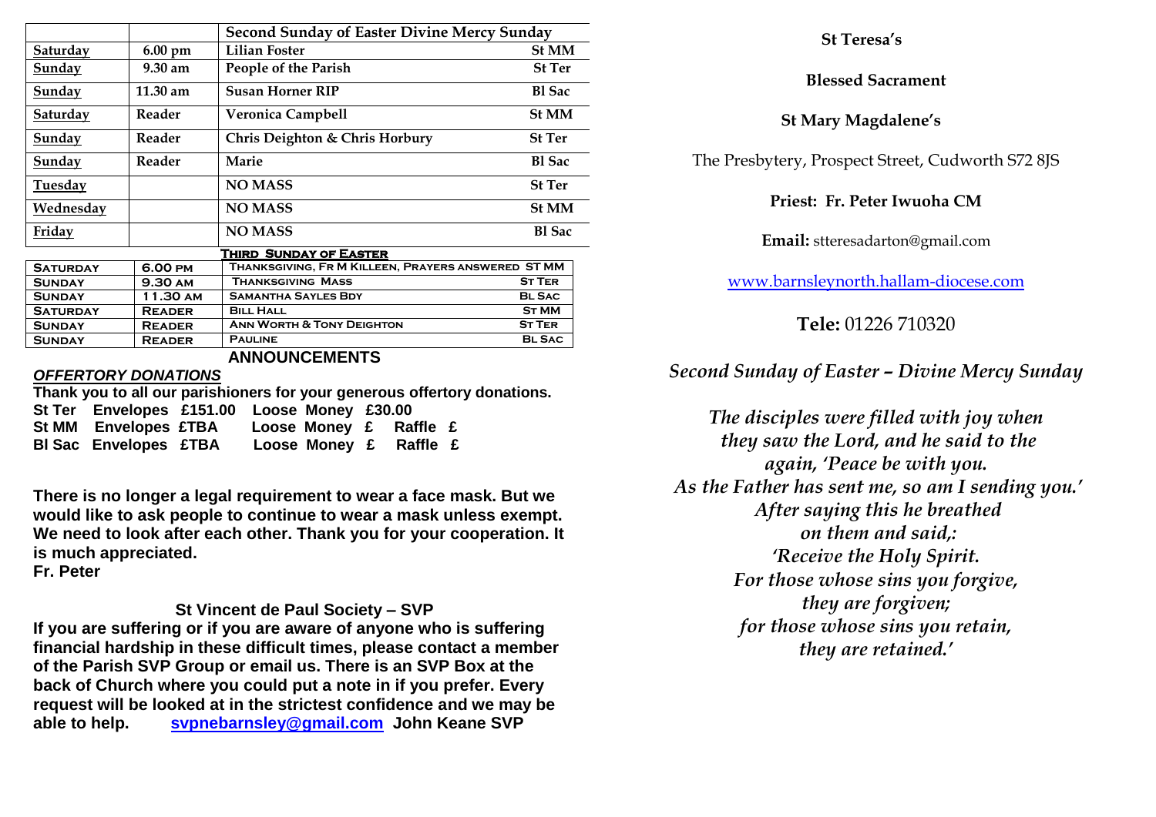|                 |                   | <b>Second Sunday of Easter Divine Mercy Sunday</b> |               |  |
|-----------------|-------------------|----------------------------------------------------|---------------|--|
| Saturday        | $6.00 \text{ pm}$ | <b>Lilian Foster</b>                               | <b>St MM</b>  |  |
| <b>Sunday</b>   | $9.30 \text{ am}$ | People of the Parish                               | <b>St Ter</b> |  |
| Sunday          | 11.30 am          | <b>Susan Horner RIP</b>                            | <b>Bl</b> Sac |  |
| <b>Saturday</b> | Reader            | <b>Veronica Campbell</b>                           | <b>St MM</b>  |  |
| Sunday          | Reader            | Chris Deighton & Chris Horbury                     | <b>St Ter</b> |  |
| <b>Sunday</b>   | Reader            | Marie                                              | <b>Bl</b> Sac |  |
| Tuesday         |                   | <b>NO MASS</b>                                     | <b>St Ter</b> |  |
| Wednesday       |                   | <b>NO MASS</b>                                     | <b>St MM</b>  |  |
| Friday          |                   | <b>NO MASS</b>                                     | <b>Bl</b> Sac |  |
|                 |                   | Third Sunday of Easter                             |               |  |
| <b>SATURDAY</b> | 6.00 PM           | THANKSGIVING, FR M KILLEEN, PRAYERS ANSWERED ST MM |               |  |
| <b>SUNDAY</b>   | 9.30 AM           | <b>THANKSGIVING MASS</b>                           | <b>ST TER</b> |  |
| <b>SUNDAY</b>   | 11.30 AM          | <b>SAMANTHA SAYLES BDY</b>                         | <b>BL SAC</b> |  |
| <b>SATURDAY</b> | <b>READER</b>     | <b>BILL HALL</b>                                   | <b>ST MM</b>  |  |
| <b>SUNDAY</b>   | <b>READER</b>     | <b>ANN WORTH &amp; TONY DEIGHTON</b>               | <b>ST TER</b> |  |
| <b>SUNDAY</b>   | <b>READER</b>     | <b>PAULINE</b>                                     | <b>BL SAC</b> |  |
|                 |                   | ANNOUNCEMENTS                                      |               |  |

### *OFFERTORY DONATIONS*

**Thank you to all our parishioners for your generous offertory donations. St Ter Envelopes £151.00 Loose Money £30.00 St MM Envelopes £TBA Loose Money £ Raffle £** 

| <b>BI Sac Envelopes £TBA</b> | Loose Money £ Raffle £ |  |  |
|------------------------------|------------------------|--|--|

**There is no longer a legal requirement to wear a face mask. But we would like to ask people to continue to wear a mask unless exempt. We need to look after each other. Thank you for your cooperation. It is much appreciated.** 

**Fr. Peter**

**St Vincent de Paul Society – SVP If you are suffering or if you are aware of anyone who is suffering financial hardship in these difficult times, please contact a member of the Parish SVP Group or email us. There is an SVP Box at the back of Church where you could put a note in if you prefer. Every request will be looked at in the strictest confidence and we may be able to help. [svpnebarnsley@gmail.com](mailto:svpnebarnsley@gmail.com) John Keane SVP**

### **St Teresa's**

**Blessed Sacrament**

## **St Mary Magdalene's**

The Presbytery, Prospect Street, Cudworth S72 8JS

**Priest: Fr. Peter Iwuoha CM**

**Email:** stteresadarton@gmail.com

[www.barnsleynorth.hallam-diocese.com](http://www.barnsleynorth.hallam-diocese.com/)

**Tele:** 01226 710320

## *Second Sunday of Easter – Divine Mercy Sunday*

*The disciples were filled with joy when they saw the Lord, and he said to the again, 'Peace be with you. As the Father has sent me, so am I sending you.' After saying this he breathed on them and said,: 'Receive the Holy Spirit. For those whose sins you forgive, they are forgiven; for those whose sins you retain, they are retained.'*